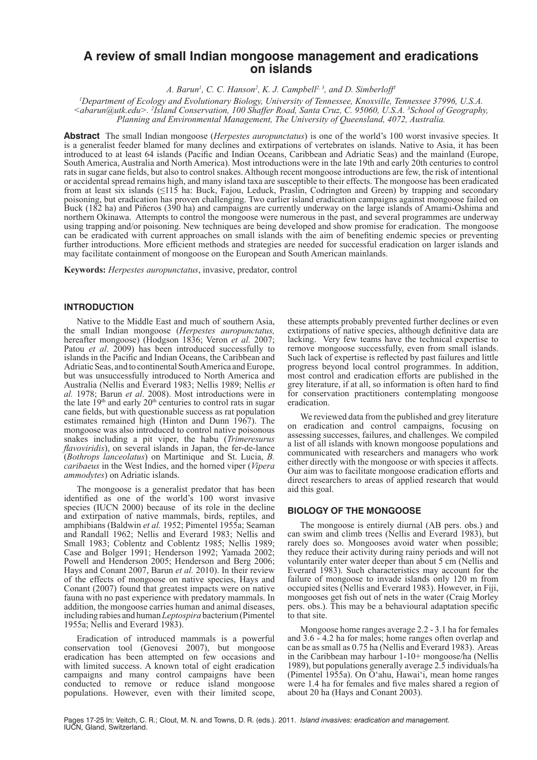# **A review of small Indian mongoose management and eradications on islands**

A. Barun<sup>1</sup>, C. C. Hanson<sup>2</sup>, K. J. Campbell<sup>2, 3</sup>, and D. Simberloff<sup>1</sup>

*1 Department of Ecology and Evolutionary Biology, University of Tennessee, Knoxville, Tennessee 37996, U.S.A. <abarun@utk.edu>. <sup>2</sup> Island Conservation, 100 Shaffer Road, Santa Cruz, C. 95060, U.S.A. <sup>3</sup> School of Geography, Planning and Environmental Management, The University of Queensland, 4072, Australia.*

**Abstract** The small Indian mongoose (*Herpestes auropunctatus*) is one of the world's 100 worst invasive species. It is a generalist feeder blamed for many declines and extirpations of vertebrates on islands. Native to Asia, it has been introduced to at least 64 islands (Pacific and Indian Oceans, Caribbean and Adriatic Seas) and the mainland (Europe, South America, Australia and North America). Most introductions were in the late 19th and early 20th centuries to control rats in sugar cane fields, but also to control snakes. Although recent mongoose introductions are few, the risk of intentional or accidental spread remains high, and many island taxa are susceptible to their effects. The mongoose has been eradicated from at least six islands (≤115 ha: Buck, Fajou, Leduck, Praslin, Codrington and Green) by trapping and secondary poisoning, but eradication has proven challenging. Two earlier island eradication campaigns against mongoose failed on Buck (182 ha) and Piñeros (390 ha) and campaigns are currently underway on the large islands of Amami-Oshima and northern Okinawa. Attempts to control the mongoose were numerous in the past, and several programmes are underway using trapping and/or poisoning. New techniques are being developed and show promise for eradication. The mongoose can be eradicated with current approaches on small islands with the aim of benefiting endemic species or preventing further introductions. More efficient methods and strategies are needed for successful eradication on larger islands and may facilitate containment of mongoose on the European and South American mainlands.

**Keywords:** *Herpestes auropunctatus*, invasive, predator, control

# **INTRODUCTION**

Native to the Middle East and much of southern Asia, the small Indian mongoose (*Herpestes auropunctatus,*  hereafter mongoose) (Hodgson 1836; Veron *et al.* 2007; Patou *et al*. 2009) has been introduced successfully to islands in the Pacific and Indian Oceans, the Caribbean and Adriatic Seas, and to continental South America and Europe, but was unsuccessfully introduced to North America and Australia (Nellis and Everard 1983; Nellis 1989; Nellis *et al.* 1978; Barun *et al*. 2008). Most introductions were in the late  $19<sup>th</sup>$  and early  $20<sup>th</sup>$  centuries to control rats in sugar cane fields, but with questionable success as rat population estimates remained high (Hinton and Dunn 1967). The mongoose was also introduced to control native poisonous snakes including a pit viper, the habu (*Trimeresurus flavoviridis*), on several islands in Japan, the fer-de-lance (*Bothrops lanceolatus*) on Martinique and St. Lucia, *B. caribaeus* in the West Indies, and the horned viper (*Vipera ammodytes*) on Adriatic islands.

The mongoose is a generalist predator that has been identified as one of the world's 100 worst invasive species (IUCN 2000) because of its role in the decline and extirpation of native mammals, birds, reptiles, and amphibians (Baldwin *et al.* 1952; Pimentel 1955a; Seaman and Randall 1962; Nellis and Everard 1983; Nellis and Small 1983; Coblentz and Coblentz 1985; Nellis 1989; Case and Bolger 1991; Henderson 1992; Yamada 2002; Powell and Henderson 2005; Henderson and Berg 2006; Hays and Conant 2007, Barun *et al.* 2010). In their review of the effects of mongoose on native species, Hays and Conant (2007) found that greatest impacts were on native fauna with no past experience with predatory mammals. In addition, the mongoose carries human and animal diseases, including rabies and human *Leptospira* bacterium (Pimentel 1955a; Nellis and Everard 1983).

Eradication of introduced mammals is a powerful conservation tool (Genovesi 2007), but mongoose eradication has been attempted on few occasions and with limited success. A known total of eight eradication campaigns and many control campaigns have been conducted to remove or reduce island mongoose populations. However, even with their limited scope,

these attempts probably prevented further declines or even extirpations of native species, although definitive data are lacking. Very few teams have the technical expertise to remove mongoose successfully, even from small islands. Such lack of expertise is reflected by past failures and little progress beyond local control programmes. In addition, most control and eradication efforts are published in the grey literature, if at all, so information is often hard to find for conservation practitioners contemplating mongoose eradication.

We reviewed data from the published and grey literature on eradication and control campaigns, focusing on assessing successes, failures, and challenges. We compiled a list of all islands with known mongoose populations and communicated with researchers and managers who work either directly with the mongoose or with species it affects. Our aim was to facilitate mongoose eradication efforts and direct researchers to areas of applied research that would aid this goal.

# **BIOLOGY OF THE MONGOOSE**

The mongoose is entirely diurnal (AB pers. obs.) and can swim and climb trees (Nellis and Everard 1983), but rarely does so. Mongooses avoid water when possible; they reduce their activity during rainy periods and will not voluntarily enter water deeper than about 5 cm (Nellis and Everard 1983). Such characteristics may account for the failure of mongoose to invade islands only 120 m from occupied sites (Nellis and Everard 1983). However, in Fiji, mongooses get fish out of nets in the water (Craig Morley pers. obs.). This may be a behavioural adaptation specific to that site.

Mongoose home ranges average 2.2 - 3.1 ha for females and 3.6 - 4.2 ha for males; home ranges often overlap and can be as small as 0.75 ha (Nellis and Everard 1983). Areas in the Caribbean may harbour 1-10+ mongoose/ha (Nellis 1989), but populations generally average 2.5 individuals/ha (Pimentel 1955a). On O'ahu, Hawai'i, mean home ranges were 1.4 ha for females and five males shared a region of about 20 ha (Hays and Conant 2003).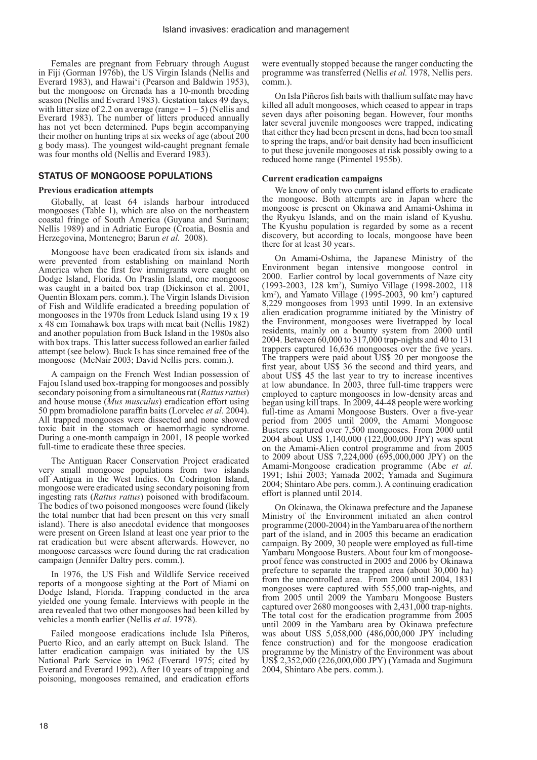Females are pregnant from February through August in Fiji (Gorman 1976b), the US Virgin Islands (Nellis and Everard 1983), and Hawai'i (Pearson and Baldwin 1953), but the mongoose on Grenada has a 10-month breeding season (Nellis and Everard 1983). Gestation takes 49 days, with litter size of 2.2 on average (range  $= 1 - 5$ ) (Nellis and Everard 1983). The number of litters produced annually has not yet been determined. Pups begin accompanying their mother on hunting trips at six weeks of age (about 200 g body mass). The youngest wild-caught pregnant female was four months old (Nellis and Everard 1983).

# **STATUS OF MONGOOSE POPULATIONS**

#### **Previous eradication attempts**

Globally, at least 64 islands harbour introduced mongooses (Table 1), which are also on the northeastern coastal fringe of South America (Guyana and Surinam; Nellis 1989) and in Adriatic Europe (Croatia, Bosnia and Herzegovina, Montenegro; Barun *et al.* 2008).

Mongoose have been eradicated from six islands and were prevented from establishing on mainland North America when the first few immigrants were caught on Dodge Island, Florida. On Praslin Island, one mongoose was caught in a baited box trap (Dickinson et al. 2001, Quentin Bloxam pers. comm.). The Virgin Islands Division of Fish and Wildlife eradicated a breeding population of mongooses in the 1970s from Leduck Island using 19 x 19 x 48 cm Tomahawk box traps with meat bait (Nellis 1982) and another population from Buck Island in the 1980s also with box traps. This latter success followed an earlier failed attempt (see below). Buck Is has since remained free of the mongoose (McNair 2003; David Nellis pers. comm.).

A campaign on the French West Indian possession of Fajou Island used box-trapping for mongooses and possibly secondary poisoning from a simultaneous rat (*Rattus rattus*) and house mouse (*Mus musculus*) eradication effort using 50 ppm bromadiolone paraffin baits (Lorvelec *et al*. 2004). All trapped mongooses were dissected and none showed toxic bait in the stomach or haemorrhagic syndrome. During a one-month campaign in 2001, 18 people worked full-time to eradicate these three species.

The Antiguan Racer Conservation Project eradicated very small mongoose populations from two islands off Antigua in the West Indies. On Codrington Island, mongoose were eradicated using secondary poisoning from ingesting rats (*Rattus rattus*) poisoned with brodifacoum. The bodies of two poisoned mongooses were found (likely the total number that had been present on this very small island). There is also anecdotal evidence that mongooses were present on Green Island at least one year prior to the rat eradication but were absent afterwards. However, no mongoose carcasses were found during the rat eradication campaign (Jennifer Daltry pers. comm.).

In 1976, the US Fish and Wildlife Service received reports of a mongoose sighting at the Port of Miami on Dodge Island, Florida. Trapping conducted in the area yielded one young female. Interviews with people in the area revealed that two other mongooses had been killed by vehicles a month earlier (Nellis *et al*. 1978).

Failed mongoose eradications include Isla Piñeros, Puerto Rico, and an early attempt on Buck Island. The latter eradication campaign was initiated by the US National Park Service in 1962 (Everard 1975; cited by Everard and Everard 1992). After 10 years of trapping and poisoning, mongooses remained, and eradication efforts

were eventually stopped because the ranger conducting the programme was transferred (Nellis *et al.* 1978, Nellis pers. comm)

On Isla Piñeros fish baits with thallium sulfate may have killed all adult mongooses, which ceased to appear in traps seven days after poisoning began. However, four months later several juvenile mongooses were trapped, indicating that either they had been present in dens, had been too small to spring the traps, and/or bait density had been insufficient to put these juvenile mongooses at risk possibly owing to a reduced home range (Pimentel 1955b).

#### **Current eradication campaigns**

We know of only two current island efforts to eradicate the mongoose. Both attempts are in Japan where the mongoose is present on Okinawa and Amami-Oshima in the Ryukyu Islands, and on the main island of Kyushu. The Kyushu population is regarded by some as a recent discovery, but according to locals, mongoose have been there for at least 30 years.

On Amami-Oshima, the Japanese Ministry of the Environment began intensive mongoose control in 2000. Earlier control by local governments of Naze city (1993-2003, 128 km2 ), Sumiyo Village (1998-2002, 118 km<sup>2</sup>), and Yamato Village (1995-2003, 90 km<sup>2</sup>) captured 8,229 mongooses from 1993 until 1999. In an extensive alien eradication programme initiated by the Ministry of the Environment, mongooses were livetrapped by local residents, mainly on a bounty system from 2000 until 2004. Between 60,000 to 317,000 trap-nights and 40 to 131 trappers captured 16,636 mongooses over the five years. The trappers were paid about US\$ 20 per mongoose the first year, about US\$ 36 the second and third years, and about US\$ 45 the last year to try to increase incentives at low abundance. In 2003, three full-time trappers were employed to capture mongooses in low-density areas and began using kill traps. In 2009, 44-48 people were working full-time as Amami Mongoose Busters. Over a five-year period from 2005 until 2009, the Amami Mongoose Busters captured over 7,500 mongooses. From 2000 until 2004 about US\$ 1,140,000 (122,000,000 JPY) was spent on the Amami-Alien control programme and from 2005 to 2009 about US\$ 7,224,000 (695,000,000 JPY) on the Amami-Mongoose eradication programme (Abe *et al.* 1991; Ishii 2003; Yamada 2002; Yamada and Sugimura 2004; Shintaro Abe pers. comm.). A continuing eradication effort is planned until 2014.

On Okinawa, the Okinawa prefecture and the Japanese Ministry of the Environment initiated an alien control programme (2000-2004) in the Yambaru area of the northern part of the island, and in 2005 this became an eradication campaign. By 2009, 30 people were employed as full-time Yambaru Mongoose Busters. About four km of mongooseproof fence was constructed in 2005 and 2006 by Okinawa prefecture to separate the trapped area (about 30,000 ha) from the uncontrolled area. From 2000 until 2004, 1831 mongooses were captured with 555,000 trap-nights, and from 2005 until 2009 the Yambaru Mongoose Busters captured over 2680 mongooses with 2,431,000 trap-nights. The total cost for the eradication programme from 2005 until 2009 in the Yambaru area by Okinawa prefecture was about US\$ 5,058,000 (486,000,000 JPY including fence construction) and for the mongoose eradication programme by the Ministry of the Environment was about US\$ 2,352,000 (226,000,000 JPY) (Yamada and Sugimura 2004, Shintaro Abe pers. comm.).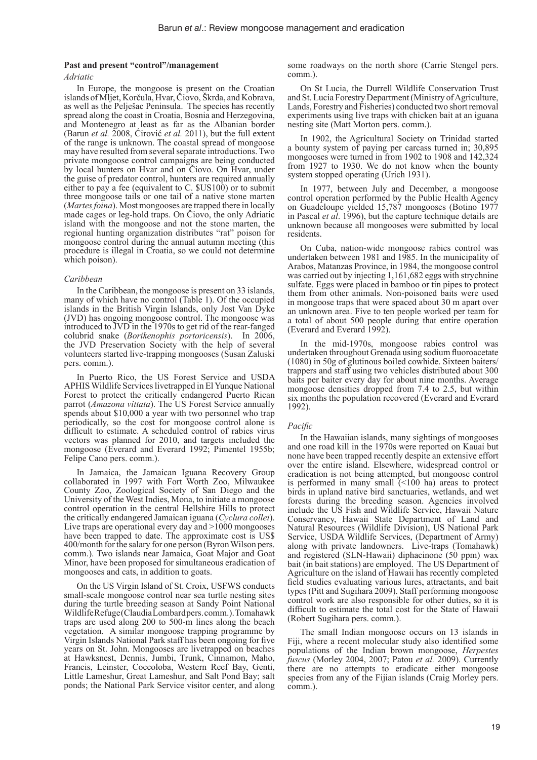#### **Past and present "control"/management**

#### *Adriatic*

In Europe, the mongoose is present on the Croatian islands of Mljet, Korčula, Hvar, Čiovo, Škrda, and Kobrava, as well as the Pelješac Peninsula. The species has recently spread along the coast in Croatia, Bosnia and Herzegovina, and Montenegro at least as far as the Albanian border (Barun *et al.* 2008, Ćirović *et al.* 2011), but the full extent of the range is unknown. The coastal spread of mongoose may have resulted from several separate introductions. Two private mongoose control campaigns are being conducted by local hunters on Hvar and on Čiovo. On Hvar, under the guise of predator control, hunters are required annually either to pay a fee (equivalent to C. \$US100) or to submit three mongoose tails or one tail of a native stone marten (*Martes foina*). Most mongooses are trapped there in locally made cages or leg-hold traps. On Ciovo, the only Adriatic island with the mongoose and not the stone marten, the regional hunting organization distributes "rat" poison for mongoose control during the annual autumn meeting (this procedure is illegal in Croatia, so we could not determine which poison).

# *Caribbean*

In the Caribbean, the mongoose is present on 33 islands, many of which have no control (Table 1). Of the occupied islands in the British Virgin Islands, only Jost Van Dyke (JVD) has ongoing mongoose control. The mongoose was introduced to JVD in the 1970s to get rid of the rear-fanged colubrid snake (*Borikenophis portoricensis*). In 2006, the JVD Preservation Society with the help of several volunteers started live-trapping mongooses (Susan Zaluski pers. comm.).

In Puerto Rico, the US Forest Service and USDA APHIS Wildlife Services livetrapped in El Yunque National Forest to protect the critically endangered Puerto Rican parrot (*Amazona vittata*). The US Forest Service annually spends about \$10,000 a year with two personnel who trap periodically, so the cost for mongoose control alone is difficult to estimate. A scheduled control of rabies virus vectors was planned for 2010, and targets included the mongoose (Everard and Everard 1992; Pimentel 1955b; Felipe Cano pers. comm.).

In Jamaica, the Jamaican Iguana Recovery Group collaborated in 1997 with Fort Worth Zoo, Milwaukee County Zoo, Zoological Society of San Diego and the University of the West Indies, Mona, to initiate a mongoose control operation in the central Hellshire Hills to protect the critically endangered Jamaican iguana (*Cyclura collei*). Live traps are operational every day and >1000 mongooses have been trapped to date. The approximate cost is US\$ 400/month for the salary for one person (Byron Wilson pers. comm.). Two islands near Jamaica, Goat Major and Goat Minor, have been proposed for simultaneous eradication of mongooses and cats, in addition to goats.

On the US Virgin Island of St. Croix, USFWS conducts small-scale mongoose control near sea turtle nesting sites during the turtle breeding season at Sandy Point National Wildlife Refuge (Claudia Lombard pers. comm.). Tomahawk traps are used along 200 to 500-m lines along the beach vegetation. A similar mongoose trapping programme by Virgin Islands National Park staff has been ongoing for five years on St. John. Mongooses are livetrapped on beaches at Hawksnest, Dennis, Jumbi, Trunk, Cinnamon, Maho, Francis, Leinster, Coccoloba, Western Reef Bay, Genti, Little Lameshur, Great Lameshur, and Salt Pond Bay; salt ponds; the National Park Service visitor center, and along

some roadways on the north shore (Carrie Stengel pers. comm.).

On St Lucia, the Durrell Wildlife Conservation Trust and St. Lucia Forestry Department (Ministry of Agriculture, Lands, Forestry and Fisheries) conducted two short removal experiments using live traps with chicken bait at an iguana nesting site (Matt Morton pers. comm.).

In 1902, the Agricultural Society on Trinidad started a bounty system of paying per carcass turned in; 30,895 mongooses were turned in from 1902 to 1908 and 142,324 from 1927 to 1930. We do not know when the bounty system stopped operating (Urich 1931).

In 1977, between July and December, a mongoose control operation performed by the Public Health Agency on Guadeloupe yielded 15,787 mongooses (Botino 1977 in Pascal *et al*. 1996), but the capture technique details are unknown because all mongooses were submitted by local residents.

On Cuba, nation-wide mongoose rabies control was undertaken between 1981 and 1985. In the municipality of Arabos, Matanzas Province, in 1984, the mongoose control was carried out by injecting 1,161,682 eggs with strychnine sulfate. Eggs were placed in bamboo or tin pipes to protect them from other animals. Non-poisoned baits were used in mongoose traps that were spaced about 30 m apart over an unknown area. Five to ten people worked per team for a total of about 500 people during that entire operation (Everard and Everard 1992).

In the mid-1970s, mongoose rabies control was undertaken throughout Grenada using sodium fluoroacetate (1080) in 50g of glutinous boiled cowhide. Sixteen baiters/ trappers and staff using two vehicles distributed about 300 baits per baiter every day for about nine months. Average mongoose densities dropped from 7.4 to 2.5, but within six months the population recovered (Everard and Everard 1992).

#### *Pacific*

In the Hawaiian islands, many sightings of mongooses and one road kill in the 1970s were reported on Kauai but none have been trapped recently despite an extensive effort over the entire island. Elsewhere, widespread control or eradication is not being attempted, but mongoose control is performed in many small (<100 ha) areas to protect birds in upland native bird sanctuaries, wetlands, and wet forests during the breeding season. Agencies involved include the US Fish and Wildlife Service, Hawaii Nature Conservancy, Hawaii State Department of Land and Natural Resources (Wildlife Division), US National Park Service, USDA Wildlife Services, (Department of Army) along with private landowners. Live-traps (Tomahawk) and registered (SLN-Hawaii) diphacinone (50 ppm) wax bait (in bait stations) are employed. The US Department of Agriculture on the island of Hawaii has recently completed field studies evaluating various lures, attractants, and bait types (Pitt and Sugihara 2009). Staff performing mongoose control work are also responsible for other duties, so it is difficult to estimate the total cost for the State of Hawaii (Robert Sugihara pers. comm.).

The small Indian mongoose occurs on 13 islands in Fiji, where a recent molecular study also identified some populations of the Indian brown mongoose, *Herpestes fuscus* (Morley 2004, 2007; Patou *et al.* 2009). Currently there are no attempts to eradicate either mongoose species from any of the Fijian islands (Craig Morley pers. comm.).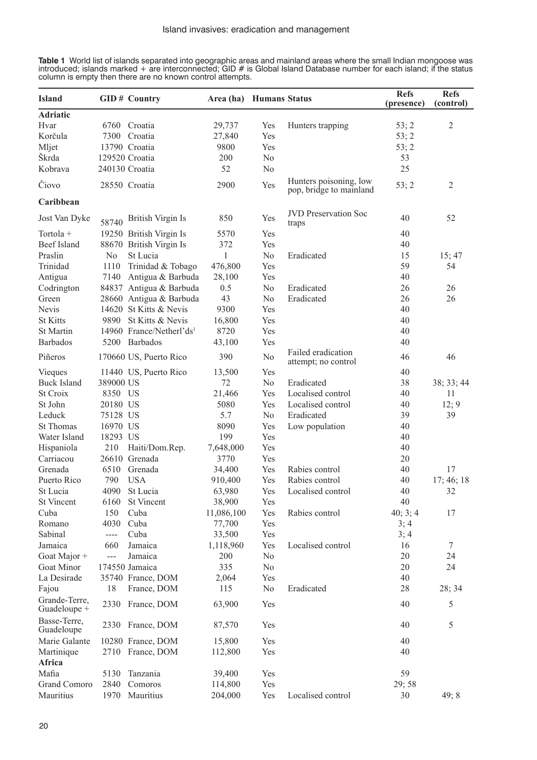**Table 1** World list of islands separated into geographic areas and mainland areas where the small Indian mongoose was introduced; islands marked + are interconnected; GID # is Global Island Database number for each island; if the status column is empty then there are no known control attempts.

| <b>Island</b>                 |                | <b>GID#</b> Country                  | Area (ha) Humans Status |                |                                                   | <b>Refs</b><br>(presence) | <b>Refs</b><br>(control) |
|-------------------------------|----------------|--------------------------------------|-------------------------|----------------|---------------------------------------------------|---------------------------|--------------------------|
| <b>Adriatic</b>               |                |                                      |                         |                |                                                   |                           |                          |
| Hvar                          |                | 6760 Croatia                         | 29,737                  | Yes            | Hunters trapping                                  | 53; 2                     | $\overline{2}$           |
| Korčula                       |                | 7300 Croatia                         | 27,840                  | Yes            |                                                   | 53; 2                     |                          |
| Mljet                         |                | 13790 Croatia                        | 9800                    | Yes            |                                                   | 53; 2                     |                          |
| Škrda                         |                | 129520 Croatia                       | 200                     | N <sub>0</sub> |                                                   | 53                        |                          |
| Kobrava                       |                | 240130 Croatia                       | 52                      | N <sub>0</sub> |                                                   | 25                        |                          |
| Čiovo                         |                | 28550 Croatia                        | 2900                    | Yes            | Hunters poisoning, low<br>pop, bridge to mainland | 53; 2                     | $\overline{2}$           |
| Caribbean                     |                |                                      |                         |                |                                                   |                           |                          |
| Jost Van Dyke                 | 58740          | British Virgin Is                    | 850                     | Yes            | <b>JVD</b> Preservation Soc<br>traps              | 40                        | 52                       |
| Tortola +                     |                | 19250 British Virgin Is              | 5570                    | Yes            |                                                   | 40                        |                          |
| <b>Beef Island</b>            |                | 88670 British Virgin Is              | 372                     | Yes            |                                                   | 40                        |                          |
| Praslin                       | No             | St Lucia                             | 1                       | N <sub>0</sub> | Eradicated                                        | 15                        | 15; 47                   |
| Trinidad                      | 1110           | Trinidad & Tobago                    | 476,800                 | Yes            |                                                   | 59                        | 54                       |
| Antigua                       |                | 7140 Antigua & Barbuda               | 28,100                  | Yes            |                                                   | 40                        |                          |
| Codrington                    |                | 84837 Antigua & Barbuda              | 0.5                     | N <sub>0</sub> | Eradicated                                        | 26                        | 26                       |
| Green                         |                | 28660 Antigua & Barbuda              | 43                      | N <sub>0</sub> | Eradicated                                        | 26                        | 26                       |
| Nevis                         |                | 14620 St Kitts & Nevis               | 9300                    | Yes            |                                                   | 40                        |                          |
| <b>St Kitts</b>               |                | 9890 St Kitts & Nevis                | 16,800                  | Yes            |                                                   | 40                        |                          |
| St Martin                     |                | 14960 France/Netherl'ds <sup>1</sup> | 8720                    | Yes            |                                                   | 40                        |                          |
| <b>Barbados</b>               |                | 5200 Barbados                        | 43,100                  | Yes            |                                                   | 40                        |                          |
| Piñeros                       |                | 170660 US, Puerto Rico               | 390                     | N <sub>0</sub> | Failed eradication<br>attempt; no control         | 46                        | 46                       |
| Vieques                       |                | 11440 US, Puerto Rico                | 13,500                  | Yes            |                                                   | 40                        |                          |
| <b>Buck Island</b>            | 389000 US      |                                      | 72                      | N <sub>0</sub> | Eradicated                                        | 38                        | 38; 33; 44               |
| St Croix                      | 8350 US        |                                      | 21,466                  | Yes            | Localised control                                 | 40                        | 11                       |
| St John                       | 20180 US       |                                      | 5080                    | Yes            | Localised control                                 | 40                        | 12; 9                    |
| Leduck                        | 75128 US       |                                      | 5.7                     | N <sub>0</sub> | Eradicated                                        | 39                        | 39                       |
| <b>St Thomas</b>              | 16970 US       |                                      | 8090                    | Yes            | Low population                                    | 40                        |                          |
| Water Island                  | 18293 US       |                                      | 199                     | Yes            |                                                   | 40                        |                          |
| Hispaniola                    | 210            | Haiti/Dom.Rep.                       | 7,648,000               | Yes            |                                                   | 40                        |                          |
| Carriacou                     |                | 26610 Grenada                        | 3770                    | Yes            |                                                   | 20                        |                          |
| Grenada                       | 6510           | Grenada                              | 34,400                  | Yes            | Rabies control                                    | 40                        | 17                       |
| Puerto Rico                   | 790            | <b>USA</b>                           | 910,400                 | Yes            | Rabies control                                    | 40                        | 17; 46; 18               |
| St Lucia                      |                | 4090 St Lucia                        | 63,980                  | Yes            | Localised control                                 | 40                        | 32                       |
| St Vincent                    |                | 6160 St Vincent                      | 38,900                  | Yes            |                                                   | 40                        |                          |
| Cuba                          | 150            | Cuba                                 | 11,086,100              | Yes            | Rabies control                                    | 40; 3; 4                  | 17                       |
| Romano                        | 4030           | Cuba                                 | 77,700                  | Yes            |                                                   | 3; 4                      |                          |
| Sabinal                       | $---$          | Cuba                                 | 33,500                  | Yes            |                                                   | 3; 4                      |                          |
| Jamaica                       | 660            | Jamaica                              | 1,118,960               | Yes            | Localised control                                 | 16                        | 7                        |
| Goat Major +                  | $\overline{a}$ | Jamaica                              | 200                     | N <sub>0</sub> |                                                   | 20                        | 24                       |
| Goat Minor                    |                | 174550 Jamaica                       | 335                     | N <sub>0</sub> |                                                   | 20                        | 24                       |
| La Desirade                   |                | 35740 France, DOM                    | 2,064                   | Yes            |                                                   | 40                        |                          |
| Fajou                         | 18             | France, DOM                          | 115                     | N <sub>0</sub> | Eradicated                                        | 28                        | 28; 34                   |
| Grande-Terre,<br>Guadeloupe + |                | 2330 France, DOM                     | 63,900                  | Yes            |                                                   | 40                        | 5                        |
| Basse-Terre,                  |                | 2330 France, DOM                     | 87,570                  | Yes            |                                                   | 40                        | 5                        |
| Guadeloupe                    |                |                                      |                         |                |                                                   |                           |                          |
| Marie Galante                 |                | 10280 France, DOM                    | 15,800                  | Yes            |                                                   | 40                        |                          |
| Martinique                    |                | 2710 France, DOM                     | 112,800                 | Yes            |                                                   | 40                        |                          |
| Africa                        |                |                                      |                         |                |                                                   |                           |                          |
| Mafia                         | 5130           | Tanzania                             | 39,400                  | Yes            |                                                   | 59                        |                          |
| Grand Comoro                  | 2840           | Comoros                              | 114,800                 | Yes            |                                                   | 29;58                     |                          |
| Mauritius                     | 1970           | Mauritius                            | 204,000                 | Yes            | Localised control                                 | 30                        | 49; 8                    |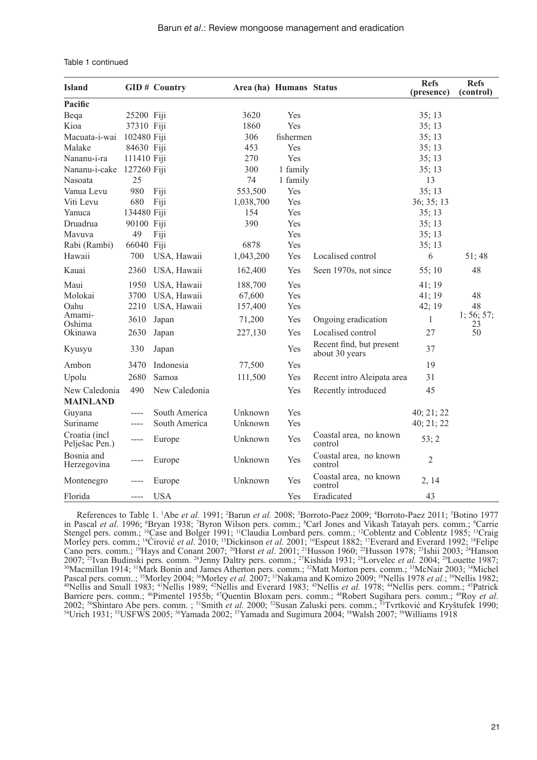| <b>Island</b>                   |             | <b>GID#</b> Country | Area (ha) Humans Status |           |                                            | <b>Refs</b><br>(presence) | <b>Refs</b><br>(control) |
|---------------------------------|-------------|---------------------|-------------------------|-----------|--------------------------------------------|---------------------------|--------------------------|
| Pacific                         |             |                     |                         |           |                                            |                           |                          |
| Beqa                            | 25200 Fiji  |                     | 3620                    | Yes       |                                            | 35;13                     |                          |
| Kioa                            | 37310 Fiji  |                     | 1860                    | Yes       |                                            | 35;13                     |                          |
| Macuata-i-wai                   | 102480 Fiji |                     | 306                     | fishermen |                                            | 35;13                     |                          |
| Malake                          | 84630 Fiji  |                     | 453                     | Yes       |                                            | 35;13                     |                          |
| Nananu-i-ra                     | 111410 Fiji |                     | 270                     | Yes       |                                            | 35;13                     |                          |
| Nananu-i-cake                   | 127260 Fiji |                     | 300                     | 1 family  |                                            | 35;13                     |                          |
| Nasoata                         | 25          |                     | 74                      | 1 family  |                                            | 13                        |                          |
| Vanua Levu                      | 980         | Fiji                | 553,500                 | Yes       |                                            | 35;13                     |                          |
| Viti Levu                       | 680         | Fiji                | 1,038,700               | Yes       |                                            | 36; 35; 13                |                          |
| Yanuca                          | 134480 Fiji |                     | 154                     | Yes       |                                            | 35;13                     |                          |
| Druadrua                        | 90100 Fiji  |                     | 390                     | Yes       |                                            | 35;13                     |                          |
| Mavuva                          | 49          | Fiji                |                         | Yes       |                                            | 35;13                     |                          |
| Rabi (Rambi)                    | 66040 Fiji  |                     | 6878                    | Yes       |                                            | 35;13                     |                          |
| Hawaii                          | 700         | USA, Hawaii         | 1,043,200               | Yes       | Localised control                          | 6                         | 51;48                    |
| Kauai                           | 2360        | USA, Hawaii         | 162,400                 | Yes       | Seen 1970s, not since                      | 55;10                     | 48                       |
| Maui                            | 1950        | USA, Hawaii         | 188,700                 | Yes       |                                            | 41;19                     |                          |
| Molokai                         | 3700        | USA, Hawaii         | 67,600                  | Yes       |                                            | 41;19                     | 48                       |
| Oahu                            | 2210        | USA, Hawaii         | 157,400                 | Yes       |                                            | 42; 19                    | 48                       |
| Amami-<br>Oshima                | 3610        | Japan               | 71,200                  | Yes       | Ongoing eradication                        | $\mathbf{1}$              | 1; 56; 57;               |
| Okinawa                         | 2630        | Japan               | 227,130                 | Yes       | Localised control                          | 27                        | 23<br>50                 |
| Kyusyu                          | 330         | Japan               |                         | Yes       | Recent find, but present<br>about 30 years | 37                        |                          |
| Ambon                           | 3470        | Indonesia           | 77,500                  | Yes       |                                            | 19                        |                          |
| Upolu                           | 2680        | Samoa               | 111,500                 | Yes       | Recent intro Aleipata area                 | 31                        |                          |
| New Caledonia                   | 490         | New Caledonia       |                         | Yes       | Recently introduced                        | 45                        |                          |
| <b>MAINLAND</b>                 |             |                     |                         |           |                                            |                           |                          |
| Guyana                          | ----        | South America       | Unknown                 | Yes       |                                            | 40; 21; 22                |                          |
| Suriname                        | ----        | South America       | Unknown                 | Yes       |                                            | 40; 21; 22                |                          |
| Croatia (incl<br>Pelješac Pen.) | $---$       | Europe              | Unknown                 | Yes       | Coastal area, no known<br>control          | 53; 2                     |                          |
| Bosnia and<br>Herzegovina       | ----        | Europe              | Unknown                 | Yes       | Coastal area, no known<br>control          | $\overline{2}$            |                          |
| Montenegro                      |             | Europe              | Unknown                 | Yes       | Coastal area, no known<br>control          | 2, 14                     |                          |
| Florida                         | $---$       | <b>USA</b>          |                         | Yes       | Eradicated                                 | 43                        |                          |

|  | Table 1 continued |
|--|-------------------|
|--|-------------------|

References to Table 1. <sup>1</sup>Abe *et al.* 1991; <sup>2</sup>Barun *et al.* 2008; <sup>3</sup>Borroto-Paez 2009; <sup>4</sup>Borroto-Paez 2011; <sup>5</sup>Botino 1977 in Pascal et al. 1996; <sup>6</sup>Bryan 1938; <sup>7</sup>Byron Wilson pers. comm.; <sup>8</sup>Carl Jones and Vikash Tatayah pers. comm.; <sup>9</sup>Carrie Stengel pers. comm.; <sup>10</sup>Case and Bolger 1991; <sup>11</sup>Claudia Lombard pers. comm.; <sup>12</sup>Coblentz and Coblentz 1985; <sup>13</sup>Craig Morley pers. comm.; <sup>14</sup>Cirović *et al.* 2010; <sup>15</sup>Dickinson *et al.* 2001; <sup>16</sup>Espeut 1882; <sup>17</sup>Everard and Everard 1992; <sup>18</sup>Felipe Cano pers. comm.; <sup>19</sup>Hays and Conant 2007; 20Horst *et al*. 2001; 21Husson 1960; 22Husson 1978; 23Ishii 2003; 24Hanson 2007; <sup>25</sup>Ivan Budinski pers. comm. <sup>26</sup>Jenny Daltry pers. comm.; <sup>27</sup>Kishida 1931; <sup>28</sup>Lorvelec *et al.* 2004; <sup>29</sup>Louette 1987; <sup>30</sup>Macmillan 1914; <sup>31</sup>Mark Bonin and James Atherton pers. comm.; <sup>32</sup>Matt Morton pers. com Pascal pers. comm..; <sup>35</sup>Morley 2004; <sup>36</sup>Morley *et al.* 2007; <sup>37</sup>Nakama and Komizo 2009; <sup>38</sup>Nellis 1978 *et al.*; <sup>39</sup>Nellis 1982; <sup>40</sup>Nellis and Small 1983; <sup>41</sup>Nellis 1989; <sup>42</sup>Nellis and Everard 1983; <sup>43</sup>Nellis *et* 2002; <sup>50</sup>Shintaro Abe pers. comm.; <sup>51</sup>Smith *et al.* 2000; <sup>52</sup>Susan Zaluski pers. comm.; <sup>53</sup>Tvrtković and Kryštufek 1990; <sup>54</sup>Urich 1931; <sup>55</sup>USFWS 2005; <sup>56</sup>Yamada 2002; <sup>57</sup>Yamada and Sugimura 2004; <sup>58</sup>Walsh 2007; <sup></sup>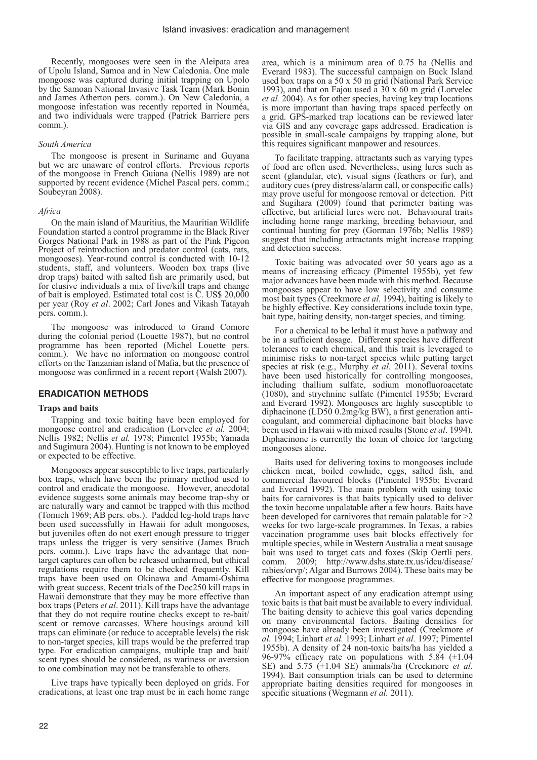Recently, mongooses were seen in the Aleipata area of Upolu Island, Samoa and in New Caledonia. One male mongoose was captured during initial trapping on Upolo by the Samoan National Invasive Task Team (Mark Bonin and James Atherton pers. comm.). On New Caledonia, a mongoose infestation was recently reported in Nouméa, and two individuals were trapped (Patrick Barriere pers comm.).

#### *South America*

The mongoose is present in Suriname and Guyana but we are unaware of control efforts. Previous reports of the mongoose in French Guiana (Nellis 1989) are not supported by recent evidence (Michel Pascal pers. comm.; Soubeyran 2008).

#### *Africa*

On the main island of Mauritius, the Mauritian Wildlife Foundation started a control programme in the Black River Gorges National Park in 1988 as part of the Pink Pigeon Project of reintroduction and predator control (cats, rats, mongooses). Year-round control is conducted with 10-12 students, staff, and volunteers. Wooden box traps (live drop traps) baited with salted fish are primarily used, but for elusive individuals a mix of live/kill traps and change of bait is employed. Estimated total cost is C. US\$ 20,000 per year (Roy *et al*. 2002; Carl Jones and Vikash Tatayah pers. comm.).

The mongoose was introduced to Grand Comore during the colonial period (Louette 1987), but no control programme has been reported (Michel Louette pers. comm.). We have no information on mongoose control efforts on the Tanzanian island of Mafia, but the presence of mongoose was confirmed in a recent report (Walsh 2007).

#### **ERADICATION METHODS**

#### **Traps and baits**

Trapping and toxic baiting have been employed for mongoose control and eradication (Lorvelec *et al.* 2004; Nellis 1982; Nellis *et al.* 1978; Pimentel 1955b; Yamada and Sugimura 2004). Hunting is not known to be employed or expected to be effective.

Mongooses appear susceptible to live traps, particularly box traps, which have been the primary method used to control and eradicate the mongoose. However, anecdotal evidence suggests some animals may become trap-shy or are naturally wary and cannot be trapped with this method (Tomich 1969; AB pers. obs.). Padded leg-hold traps have been used successfully in Hawaii for adult mongooses, but juveniles often do not exert enough pressure to trigger traps unless the trigger is very sensitive (James Bruch pers. comm.). Live traps have the advantage that nontarget captures can often be released unharmed, but ethical regulations require them to be checked frequently. Kill traps have been used on Okinawa and Amami-Oshima with great success. Recent trials of the Doc250 kill traps in Hawaii demonstrate that they may be more effective than box traps (Peters *et al*. 2011). Kill traps have the advantage that they do not require routine checks except to re-bait/ scent or remove carcasses. Where housings around kill traps can eliminate (or reduce to acceptable levels) the risk to non-target species, kill traps would be the preferred trap type. For eradication campaigns, multiple trap and bait/ scent types should be considered, as wariness or aversion to one combination may not be transferable to others.

Live traps have typically been deployed on grids. For eradications, at least one trap must be in each home range area, which is a minimum area of 0.75 ha (Nellis and Everard 1983). The successful campaign on Buck Island used box traps on a 50 x 50 m grid (National Park Service 1993), and that on Fajou used a 30 x 60 m grid (Lorvelec *et al.* 2004). As for other species, having key trap locations is more important than having traps spaced perfectly on a grid. GPS-marked trap locations can be reviewed later via GIS and any coverage gaps addressed. Eradication is possible in small-scale campaigns by trapping alone, but this requires significant manpower and resources.

To facilitate trapping, attractants such as varying types of food are often used. Nevertheless, using lures such as scent (glandular, etc), visual signs (feathers or fur), and auditory cues (prey distress/alarm call, or conspecific calls) may prove useful for mongoose removal or detection. Pitt and Sugihara (2009) found that perimeter baiting was effective, but artificial lures were not. Behavioural traits including home range marking, breeding behaviour, and continual hunting for prey (Gorman 1976b; Nellis 1989) suggest that including attractants might increase trapping and detection success.

Toxic baiting was advocated over 50 years ago as a means of increasing efficacy (Pimentel 1955b), yet few major advances have been made with this method. Because mongooses appear to have low selectivity and consume most bait types (Creekmore *et al.* 1994), baiting is likely to be highly effective. Key considerations include toxin type, bait type, baiting density, non-target species, and timing.

For a chemical to be lethal it must have a pathway and be in a sufficient dosage. Different species have different tolerances to each chemical, and this trait is leveraged to minimise risks to non-target species while putting target species at risk (e.g., Murphy *et al.* 2011). Several toxins have been used historically for controlling mongooses, including thallium sulfate, sodium monofluoroacetate (1080), and strychnine sulfate (Pimentel 1955b; Everard and Everard 1992). Mongooses are highly susceptible to diphacinone (LD50 0.2mg/kg BW), a first generation anticoagulant, and commercial diphacinone bait blocks have been used in Hawaii with mixed results (Stone *et al*. 1994). Diphacinone is currently the toxin of choice for targeting mongooses alone.

Baits used for delivering toxins to mongooses include chicken meat, boiled cowhide, eggs, salted fish, and commercial flavoured blocks (Pimentel 1955b; Everard and Everard 1992). The main problem with using toxic baits for carnivores is that baits typically used to deliver the toxin become unpalatable after a few hours. Baits have been developed for carnivores that remain palatable for >2 weeks for two large-scale programmes. In Texas, a rabies vaccination programme uses bait blocks effectively for multiple species, while in Western Australia a meat sausage bait was used to target cats and foxes (Skip Oertli pers. comm. 2009; http://www.dshs.state.tx.us/idcu/disease/ rabies/orvp/; Algar and Burrows 2004). These baits may be effective for mongoose programmes.

An important aspect of any eradication attempt using toxic baits is that bait must be available to every individual. The baiting density to achieve this goal varies depending on many environmental factors. Baiting densities for mongoose have already been investigated (Creekmore *et al.* 1994; Linhart *et al.* 1993; Linhart *et al.* 1997; Pimentel 1955b). A density of 24 non-toxic baits/ha has yielded a 96-97% efficacy rate on populations with  $5.84$  ( $\pm 1.04$ ) SE) and 5.75 (±1.04 SE) animals/ha (Creekmore *et al.* 1994). Bait consumption trials can be used to determine appropriate baiting densities required for mongooses in specific situations (Wegmann *et al.* 2011).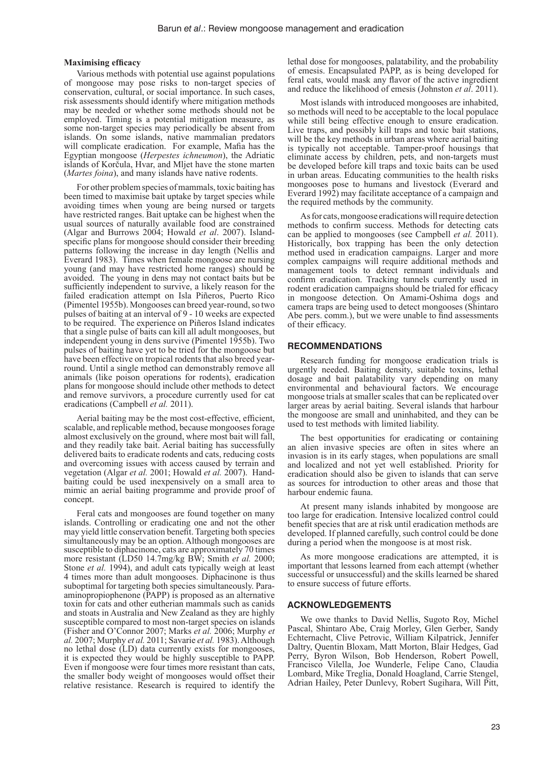#### **Maximising efficacy**

Various methods with potential use against populations of mongoose may pose risks to non-target species of conservation, cultural, or social importance. In such cases, risk assessments should identify where mitigation methods may be needed or whether some methods should not be employed. Timing is a potential mitigation measure, as some non-target species may periodically be absent from islands. On some islands, native mammalian predators will complicate eradication. For example, Mafia has the Egyptian mongoose (*Herpestes ichneumon*), the Adriatic islands of Korčula, Hvar, and Mljet have the stone marten (*Martes foina*), and many islands have native rodents.

For other problem species of mammals, toxic baiting has been timed to maximise bait uptake by target species while avoiding times when young are being nursed or targets have restricted ranges. Bait uptake can be highest when the usual sources of naturally available food are constrained (Algar and Burrows 2004; Howald *et al*. 2007). Islandspecific plans for mongoose should consider their breeding patterns following the increase in day length (Nellis and Everard 1983). Times when female mongoose are nursing young (and may have restricted home ranges) should be avoided. The young in dens may not contact baits but be sufficiently independent to survive, a likely reason for the failed eradication attempt on Isla Piñeros, Puerto Rico (Pimentel 1955b). Mongooses can breed year-round, so two pulses of baiting at an interval of 9 - 10 weeks are expected to be required. The experience on Piñeros Island indicates that a single pulse of baits can kill all adult mongooses, but independent young in dens survive (Pimentel 1955b). Two pulses of baiting have yet to be tried for the mongoose but have been effective on tropical rodents that also breed yearround. Until a single method can demonstrably remove all animals (like poison operations for rodents), eradication plans for mongoose should include other methods to detect and remove survivors, a procedure currently used for cat eradications (Campbell *et al.* 2011).

Aerial baiting may be the most cost-effective, efficient, scalable, and replicable method, because mongooses forage almost exclusively on the ground, where most bait will fall, and they readily take bait. Aerial baiting has successfully delivered baits to eradicate rodents and cats, reducing costs and overcoming issues with access caused by terrain and vegetation (Algar *et al.* 2001; Howald *et al.* 2007). Handbaiting could be used inexpensively on a small area to mimic an aerial baiting programme and provide proof of concept.

Feral cats and mongooses are found together on many islands. Controlling or eradicating one and not the other may yield little conservation benefit. Targeting both species simultaneously may be an option. Although mongooses are susceptible to diphacinone, cats are approximately 70 times more resistant (LD50 14.7mg/kg BW; Smith *et al.* 2000; Stone *et al.* 1994), and adult cats typically weigh at least 4 times more than adult mongooses. Diphacinone is thus suboptimal for targeting both species simultaneously. Paraaminopropiophenone (PAPP) is proposed as an alternative toxin for cats and other eutherian mammals such as canids and stoats in Australia and New Zealand as they are highly susceptible compared to most non-target species on islands (Fisher and O'Connor 2007; Marks *et al.* 2006; Murphy *et al.* 2007; Murphy *et al.* 2011; Savarie *et al.* 1983). Although no lethal dose (LD) data currently exists for mongooses, it is expected they would be highly susceptible to PAPP. Even if mongoose were four times more resistant than cats, the smaller body weight of mongooses would offset their relative resistance. Research is required to identify the lethal dose for mongooses, palatability, and the probability of emesis. Encapsulated PAPP, as is being developed for feral cats, would mask any flavor of the active ingredient and reduce the likelihood of emesis (Johnston *et al*. 2011).

Most islands with introduced mongooses are inhabited, so methods will need to be acceptable to the local populace while still being effective enough to ensure eradication. Live traps, and possibly kill traps and toxic bait stations, will be the key methods in urban areas where aerial baiting is typically not acceptable. Tamper-proof housings that eliminate access by children, pets, and non-targets must be developed before kill traps and toxic baits can be used in urban areas. Educating communities to the health risks mongooses pose to humans and livestock (Everard and Everard 1992) may facilitate acceptance of a campaign and the required methods by the community.

As for cats, mongoose eradications will require detection methods to confirm success. Methods for detecting cats can be applied to mongooses (see Campbell *et al.* 2011). Historically, box trapping has been the only detection method used in eradication campaigns. Larger and more complex campaigns will require additional methods and management tools to detect remnant individuals and confirm eradication. Tracking tunnels currently used in rodent eradication campaigns should be trialed for efficacy in mongoose detection. On Amami-Oshima dogs and camera traps are being used to detect mongooses (Shintaro Abe pers. comm.), but we were unable to find assessments of their efficacy.

#### **RECOMMENDATIONS**

Research funding for mongoose eradication trials is urgently needed. Baiting density, suitable toxins, lethal dosage and bait palatability vary depending on many environmental and behavioural factors. We encourage mongoose trials at smaller scales that can be replicated over larger areas by aerial baiting. Several islands that harbour the mongoose are small and uninhabited, and they can be used to test methods with limited liability.

The best opportunities for eradicating or containing an alien invasive species are often in sites where an invasion is in its early stages, when populations are small and localized and not yet well established. Priority for eradication should also be given to islands that can serve as sources for introduction to other areas and those that harbour endemic fauna.

At present many islands inhabited by mongoose are too large for eradication. Intensive localized control could benefit species that are at risk until eradication methods are developed. If planned carefully, such control could be done during a period when the mongoose is at most risk.

As more mongoose eradications are attempted, it is important that lessons learned from each attempt (whether successful or unsuccessful) and the skills learned be shared to ensure success of future efforts.

### **ACKNOWLEDGEMENTS**

We owe thanks to David Nellis, Sugoto Roy, Michel Pascal, Shintaro Abe, Craig Morley, Glen Gerber, Sandy Echternacht, Clive Petrovic, William Kilpatrick, Jennifer Daltry, Quentin Bloxam, Matt Morton, Blair Hedges, Gad Perry, Byron Wilson, Bob Henderson, Robert Powell, Francisco Vilella, Joe Wunderle, Felipe Cano, Claudia Lombard, Mike Treglia, Donald Hoagland, Carrie Stengel, Adrian Hailey, Peter Dunlevy, Robert Sugihara, Will Pitt,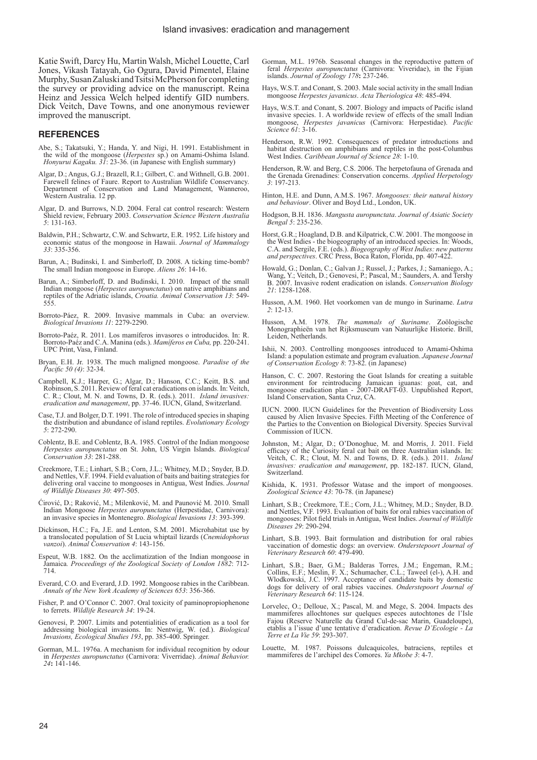Katie Swift, Darcy Hu, Martin Walsh, Michel Louette, Carl Jones, Vikash Tatayah, Go Ogura, David Pimentel, Elaine Murphy, Susan Zaluski and Tsitsi McPherson for completing the survey or providing advice on the manuscript. Reina Heinz and Jessica Welch helped identify GID numbers. Dick Veitch, Dave Towns, and one anonymous reviewer improved the manuscript.

# **REFERENCES**

- Abe, S.; Takatsuki, Y.; Handa, Y. and Nigi, H. 1991. Establishment in the wild of the mongoose (*Herpestes* sp.) on Amami-Oshima Island. *Honyurui Kagaku. 31*: 23-36. (in Japanese with English summary)
- Algar, D.; Angus, G.J.; Brazell, R.I.; Gilbert, C. and Withnell, G.B. 2001. Farewell felines of Faure. Report to Australian Wildlife Conservancy. Department of Conservation and Land Management, Wanneroo, Western Australia. 12 pp.
- Algar, D. and Burrows, N.D. 2004. Feral cat control research: Western Shield review, February 2003. *Conservation Science Western Australia 5*: 131-163.
- Baldwin, P.H.; Schwartz, C.W. and Schwartz, E.R. 1952. Life history and economic status of the mongoose in Hawaii. *Journal of Mammalogy 33*: 335-356.
- Barun, A.; Budinski, I. and Simberloff, D. 2008. A ticking time-bomb? The small Indian mongoose in Europe. *Aliens 26*: 14-16.
- Barun, A.; Simberloff, D. and Budinski, I. 2010. Impact of the small Indian mongoose (*Herpestes auropunctatus*) on native amphibians and reptiles of the Adriatic islands, *Croatia. Animal Conservation 13*: 549- 555.
- Borroto-Páez, R. 2009. Invasive mammals in Cuba: an overview. *Biological Invasions 11*: 2279-2290.
- Borroto-Paéz, R. 2011. Los mamíferos invasores o introducidos. In: R. Borroto-Paéz and C.A. Manina (eds.). *Mamíferos en Cuba,* pp. 220-241. UPC Print, Vasa, Finland.
- Bryan, E.H. Jr. 1938. The much maligned mongoose. *Paradise of the Pacific 50 (4)*: 32-34.
- Campbell, K.J.; Harper, G.; Algar, D.; Hanson, C.C.; Keitt, B.S. and Robinson, S. 2011. Review of feral cat eradications on islands. In: Veitch, C. R.; Clout, M. N. and Towns, D. R. (eds.). 2011. *Island invasives: eradication and management*, pp. 37-46. IUCN, Gland, Switzerland.
- Case, T.J. and Bolger, D.T. 1991. The role of introduced species in shaping the distribution and abundance of island reptiles. *Evolutionary Ecology 5*: 272-290.
- Coblentz, B.E. and Coblentz, B.A. 1985. Control of the Indian mongoose *Herpestes auropunctatus* on St. John, US Virgin Islands. *Biological Conservation 33*: 281-288.
- Creekmore, T.E.; Linhart, S.B.; Corn, J.L.; Whitney, M.D.; Snyder, B.D. and Nettles, V.F. 1994. Field evaluation of baits and baiting strategies for delivering oral vaccine to mongooses in Antigua, West Indies. *Journal of Wildlife Diseases 30*: 497-505.
- Ćirović, D.; Raković, M.; Milenković, M. and Paunović M. 2010. Small Indian Mongoose *Herpestes auropunctatus* (Herpestidae, Carnivora): an invasive species in Montenegro. *Biological Invasions 13*: 393-399.
- Dickinson, H.C.; Fa, J.E. and Lenton, S.M. 2001. Microhabitat use by a translocated population of St Lucia whiptail lizards (*Cnemidophorus vanzoi*). *Animal Conservation 4*: 143-156.
- Espeut, W.B. 1882. On the acclimatization of the Indian mongoose in Jamaica*. Proceedings of the Zoological Society of London 1882*: 712- 714.
- Everard, C.O. and Everard, J.D. 1992. Mongoose rabies in the Caribbean. *Annals of the New York Academy of Sciences 653*: 356-366.
- Fisher, P. and O'Connor C. 2007. Oral toxicity of paminopropiophenone to ferrets. *Wildlife Research 34*: 19-24.
- Genovesi, P. 2007. Limits and potentialities of eradication as a tool for addressing biological invasions. In: Nentwig, W. (ed.). *Biological Invasions, Ecological Studies 193*, pp. 385-400. Springer.
- Gorman, M.L. 1976a. A mechanism for individual recognition by odour in *Herpestes auropunctatus* (Carnivora: Viverridae). *Animal Behavior. 24***:** 141-146.
- Gorman, M.L. 1976b. Seasonal changes in the reproductive pattern of feral *Herpestes auropunctatus* (Carnivora: Viveridae), in the Fijian islands. *Journal of Zoology 178***:** 237-246.
- Hays, W.S.T. and Conant, S. 2003. Male social activity in the small Indian mongoose *Herpestes javanicus*. *Acta Theriologica 48*: 485-494.
- Hays, W.S.T. and Conant, S. 2007. Biology and impacts of Pacific island invasive species. 1. A worldwide review of effects of the small Indian mongoose, *Herpestes javanicus* (Carnivora: Herpestidae). *Pacific Science 61*: 3-16.
- Henderson, R.W. 1992. Consequences of predator introductions and habitat destruction on amphibians and reptiles in the post-Columbus West Indies. *Caribbean Journal of Science 28*: 1-10.
- Henderson, R.W. and Berg, C.S. 2006. The herpetofauna of Grenada and the Grenada Grenadines: Conservation concerns. *Applied Herpetology 3*: 197-213.
- Hinton, H.E. and Dunn, A.M.S. 1967. *Mongooses: their natural history and behaviour*. Oliver and Boyd Ltd., London, UK.
- Hodgson, B.H. 1836. *Mangusta auropunctata*. *Journal of Asiatic Society Bengal 5*: 235-236.
- Horst, G.R.; Hoagland, D.B. and Kilpatrick, C.W. 2001. The mongoose in the West Indies - the biogeography of an introduced species. In: Woods, C.A. and Sergile, F.E. (eds.). *Biogeography of West Indies: new patterns and perspectives*. CRC Press, Boca Raton, Florida, pp. 407-422.
- Howald, G.; Donlan, C.; Galvan J.; Russel, J.; Parkes, J.; Samaniego, A.; Wang, Y.; Veitch, D.; Genovesi, P.; Pascal, M.; Saunders, A. and Tershy B. 2007. Invasive rodent eradication on islands. *Conservation Biology 21*: 1258-1268.
- Husson, A.M. 1960. Het voorkomen van de mungo in Suriname. *Lutra 2*: 12-13.
- Husson, A.M. 1978. *The mammals of Suriname*. Zoölogische Monographieën van het Rijksmuseum van Natuurlijke Historie. Brill, Leiden, Netherlands.
- Ishii, N. 2003. Controlling mongooses introduced to Amami-Oshima Island: a population estimate and program evaluation. *Japanese Journal of Conservation Ecology 8*: 73-82. (in Japanese)
- Hanson, C. C. 2007. Restoring the Goat Islands for creating a suitable environment for reintroducing Jamaican iguanas: goat, cat, and mongoose eradication plan - 2007-DRAFT-03. Unpublished Report, Island Conservation, Santa Cruz, CA.
- IUCN. 2000. IUCN Guidelines for the Prevention of Biodiversity Loss caused by Alien Invasive Species. Fifth Meeting of the Conference of the Parties to the Convention on Biological Diversity. Species Survival Commission of IUCN.
- Johnston, M.; Algar, D.; O'Donoghue, M. and Morris, J. 2011. Field efficacy of the Curiosity feral cat bait on three Australian islands. In: Veitch, C. R.; Clout, M. N. and Towns, D. R. (eds.). 2011. *Island invasives: eradication and management*, pp. 182-187. IUCN, Gland, Switzerland.
- Kishida, K. 1931. Professor Watase and the import of mongooses. *Zoological Science 43*: 70-78. (in Japanese)
- Linhart, S.B.; Creekmore, T.E.; Corn, J.L.; Whitney, M.D.; Snyder, B.D. and Nettles, V.F. 1993. Evaluation of baits for oral rabies vaccination of mongooses: Pilot field trials in Antigua, West Indies. *Journal of Wildlife Diseases 29*: 290-294.
- Linhart, S.B. 1993. Bait formulation and distribution for oral rabies vaccination of domestic dogs: an overview. *Onderstepoort Journal of Veterinary Research 60*: 479-490.
- Linhart, S.B.; Baer, G.M.; Balderas Torres, J.M.; Engeman, R.M.; Collins, E.F.; Meslin, F. X.; Schumacher, C.L.; Taweel (el-), A.H. and Wlodkowski, J.C. 1997. Acceptance of candidate baits by domestic dogs for delivery of oral rabies vaccines. *Onderstepoort Journal of Veterinary Research 64*: 115-124.
- Lorvelec, O.; Delloue, X.; Pascal, M. and Mege, S. 2004. Impacts des mammiferes allochtones sur quelques especes autochtones de l'Isle Fajou (Reserve Naturelle du Grand Cul-de-sac Marin, Guadeloupe), etablis a l'issue d'une tentative d'eradication. *Revue D'Ecologie - La Terre et La Vie 59*: 293-307.
- Louette, M. 1987. Poissons dulcaquicoles, batraciens, reptiles et mammiferes de l'archipel des Comores. *Ya Mkobe 3*: 4-7.